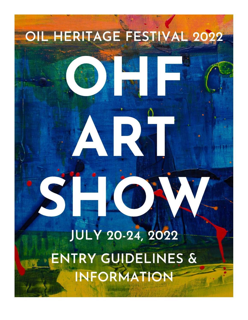# **JULY 20-24, 2022** ENTRY GUIDELINES & INFORMATION

OIL HERITAGE FESTIVAL 2022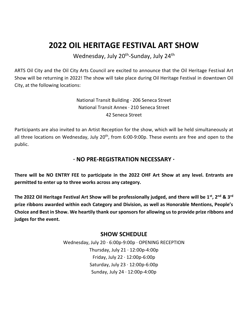# **2022 OIL HERITAGE FESTIVAL ART SHOW**

Wednesday, July 20<sup>th</sup>-Sunday, July 24<sup>th</sup>

ARTS Oil City and the Oil City Arts Council are excited to announce that the Oil Heritage Festival Art Show will be returning in 2022! The show will take place during Oil Heritage Festival in downtown Oil City, at the following locations:

> National Transit Building · 206 Seneca Street National Transit Annex · 210 Seneca Street 42 Seneca Street

Participants are also invited to an Artist Reception for the show, which will be held simultaneously at all three locations on Wednesday, July 20<sup>th</sup>, from 6:00-9:00p. These events are free and open to the public.

# **· NO PRE-REGISTRATION NECESSARY ·**

**There will be NO ENTRY FEE to participate in the 2022 OHF Art Show at any level. Entrants are permitted to enter up to three works across any category.**

**The 2022 Oil Heritage Festival Art Show will be professionally judged, and there will be 1st, 2nd & 3rd prize ribbons awarded within each Category and Division, as well as Honorable Mentions, People's Choice and Best in Show. We heartily thank our sponsors for allowing us to provide prize ribbons and judges for the event.**

## **SHOW SCHEDULE**

Wednesday, July 20 · 6:00p-9:00p · OPENING RECEPTION Thursday, July  $21 \cdot 12:00p-4:00p$ Friday, July 22 · 12:00p-6:00p Saturday, July 23 · 12:00p-6:00p Sunday, July 24 · 12:00p-4:00p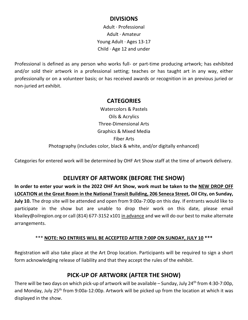## **DIVISIONS**

Adult · Professional Adult · Amateur Young Adult · Ages 13-17 Child · Age 12 and under

Professional is defined as any person who works full- or part-time producing artwork; has exhibited and/or sold their artwork in a professional setting; teaches or has taught art in any way, either professionally or on a volunteer basis; or has received awards or recognition in an previous juried or non-juried art exhibit.

#### **CATEGORIES**

Watercolors & Pastels Oils & Acrylics Three-Dimensional Arts Graphics & Mixed Media Fiber Arts Photography (includes color, black & white, and/or digitally enhanced)

Categories for entered work will be determined by OHF Art Show staff at the time of artwork delivery.

# **DELIVERY OF ARTWORK (BEFORE THE SHOW)**

**In order to enter your work in the 2022 OHF Art Show, work must be taken to the NEW DROP OFF LOCATION at the Great Room in the National Transit Building, 206 Seneca Street, Oil City, on Sunday, July 10.** The drop site will be attended and open from 9:00a-7:00p on this day. If entrants would like to participate in the show but are unable to drop their work on this date, please email kbailey@oilregion.org or call (814) 677-3152 x101 in advance and we will do our best to make alternate arrangements.

#### \*\*\* **NOTE: NO ENTRIES WILL BE ACCEPTED AFTER 7:00P ON SUNDAY, JULY 10 \*\*\***

Registration will also take place at the Art Drop location. Participants will be required to sign a short form acknowledging release of liability and that they accept the rules of the exhibit.

# **PICK-UP OF ARTWORK (AFTER THE SHOW)**

There will be two days on which pick-up of artwork will be available – Sunday, July 24<sup>th</sup> from 4:30-7:00p, and Monday, July 25<sup>th</sup> from 9:00a-12:00p. Artwork will be picked up from the location at which it was displayed in the show.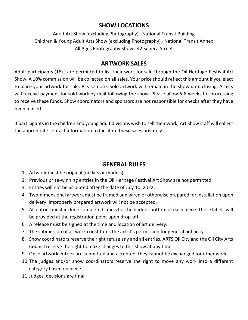# **SHOW LOCATIONS**

Adult Art Show (excluding Photography) · National Transit Building Children & Young Adult Arts Show (excluding Photography) · National Transit Annex All Ages Photography Show · 42 Seneca Street

# **ARTWORK SALES**

Adult participants (18+) are permitted to list their work for sale through the Oil Heritage Festival Art Show. A 10% commission will be collected on all sales. Your price should reflect this amount if you elect to place your artwork for sale. Please note: Sold artwork will remain in the show until closing. Artists will receive payment for sold work by mail following the show. Please allow 6-8 weeks for processing to receive these funds. Show coordinators and sponsors are not responsible for checks after they have been mailed.

If participants in the children and young adult divisions wish to sell their work, Art Show staff will collect the appropriate contact information to facilitate these sales privately.

# **GENERAL RULES**

- 1. Artwork must be original (no kits or models).
- 2. Previous prize-winning entries in the Oil Heritage Festival Art Show are not permitted.
- 3. Entries will not be accepted after the date of July 10, 2022.
- 4. Two-dimensional artwork must be framed and wired or otherwise prepared for installation upon delivery. Improperly prepared artwork will not be accepted.
- 5. All entries must include completed labels for the back or bottom of each piece. These labels will be provided at the registration point upon drop-off.
- 6. A release must be signed at the time and location of art delivery.
- 7. The submission of artwork constitutes the artist's permission for general publicity.
- 8. Show coordinators reserve the right refuse any and all entries. ARTS Oil City and the Oil City Arts Council reserve the right to make changes to this show at any time.
- 9. Once artwork entries are submitted and accepted, they cannot be exchanged for other work.
- 10.The judges and/or show coordinators reserve the right to move any work into a different category based on piece.
- 11.Judges' decisions are final.